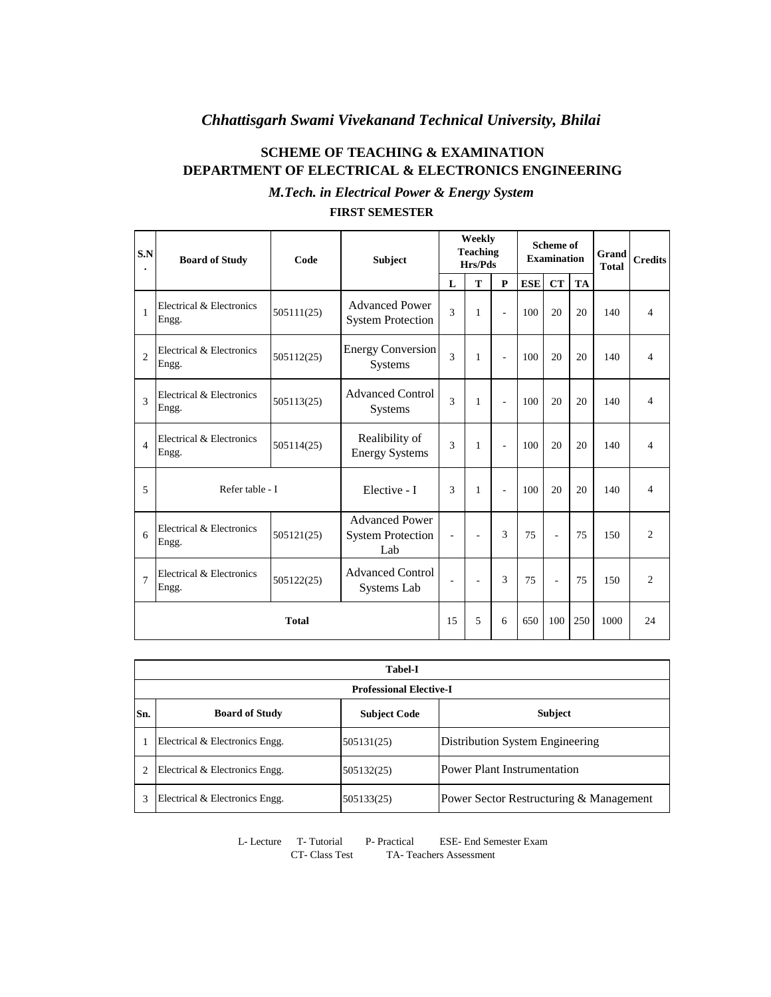## **SCHEME OF TEACHING & EXAMINATION DEPARTMENT OF ELECTRICAL & ELECTRONICS ENGINEERING**

#### *M.Tech. in Electrical Power & Energy System* **FIRST SEMESTER**

| S.N            | <b>Board of Study</b>             | Code       | <b>Subject</b>                                           |    | Weekly<br><b>Teaching</b><br>Hrs/Pds |              | <b>Scheme of</b><br><b>Examination</b> |           | Grand<br><b>Total</b> | <b>Credits</b> |                |
|----------------|-----------------------------------|------------|----------------------------------------------------------|----|--------------------------------------|--------------|----------------------------------------|-----------|-----------------------|----------------|----------------|
|                |                                   |            |                                                          | L  | T                                    | $\mathbf{P}$ | <b>ESE</b>                             | <b>CT</b> | <b>TA</b>             |                |                |
| $\mathbf{1}$   | Electrical & Electronics<br>Engg. | 505111(25) | <b>Advanced Power</b><br><b>System Protection</b>        | 3  | 1                                    | ÷,           | 100                                    | 20        | 20                    | 140            | $\overline{4}$ |
| $\overline{2}$ | Electrical & Electronics<br>Engg. | 505112(25) | <b>Energy Conversion</b><br>Systems                      | 3  | 1                                    | ÷,           | 100                                    | 20        | 20                    | 140            | $\overline{4}$ |
| 3              | Electrical & Electronics<br>Engg. | 505113(25) | <b>Advanced Control</b><br><b>Systems</b>                | 3  | 1                                    | ÷,           | 100                                    | 20        | 20                    | 140            | $\overline{4}$ |
| $\overline{4}$ | Electrical & Electronics<br>Engg. | 505114(25) | Realibility of<br><b>Energy Systems</b>                  | 3  | 1                                    | ÷,           | 100                                    | 20        | 20                    | 140            | $\overline{4}$ |
| 5              | Refer table - I                   |            | Elective - I                                             | 3  | 1                                    | ÷,           | 100                                    | 20        | 20                    | 140            | $\overline{4}$ |
| 6              | Electrical & Electronics<br>Engg. | 505121(25) | <b>Advanced Power</b><br><b>System Protection</b><br>Lab | ÷, | ä,                                   | 3            | 75                                     | ÷.        | 75                    | 150            | $\overline{2}$ |
| $\overline{7}$ | Electrical & Electronics<br>Engg. | 505122(25) | <b>Advanced Control</b><br>Systems Lab                   | ÷, | $\overline{\phantom{a}}$             | 3            | 75                                     | $\sim$    | 75                    | 150            | $\overline{c}$ |
| <b>Total</b>   |                                   |            | 15                                                       | 5  | 6                                    | 650          | 100                                    | 250       | 1000                  | 24             |                |

|     | <b>Tabel-I</b>                 |                     |                                         |  |  |  |  |  |
|-----|--------------------------------|---------------------|-----------------------------------------|--|--|--|--|--|
|     | <b>Professional Elective-I</b> |                     |                                         |  |  |  |  |  |
| Sn. | <b>Board of Study</b>          | <b>Subject Code</b> | <b>Subject</b>                          |  |  |  |  |  |
|     | Electrical & Electronics Engg. | 505131(25)          | Distribution System Engineering         |  |  |  |  |  |
|     | Electrical & Electronics Engg. | 505132(25)          | <b>Power Plant Instrumentation</b>      |  |  |  |  |  |
|     | Electrical & Electronics Engg. | 505133(25)          | Power Sector Restructuring & Management |  |  |  |  |  |

L- Lecture T- Tutorial P- Practical ESE- End Semester Exam CT- Class Test TA- Teachers Assessment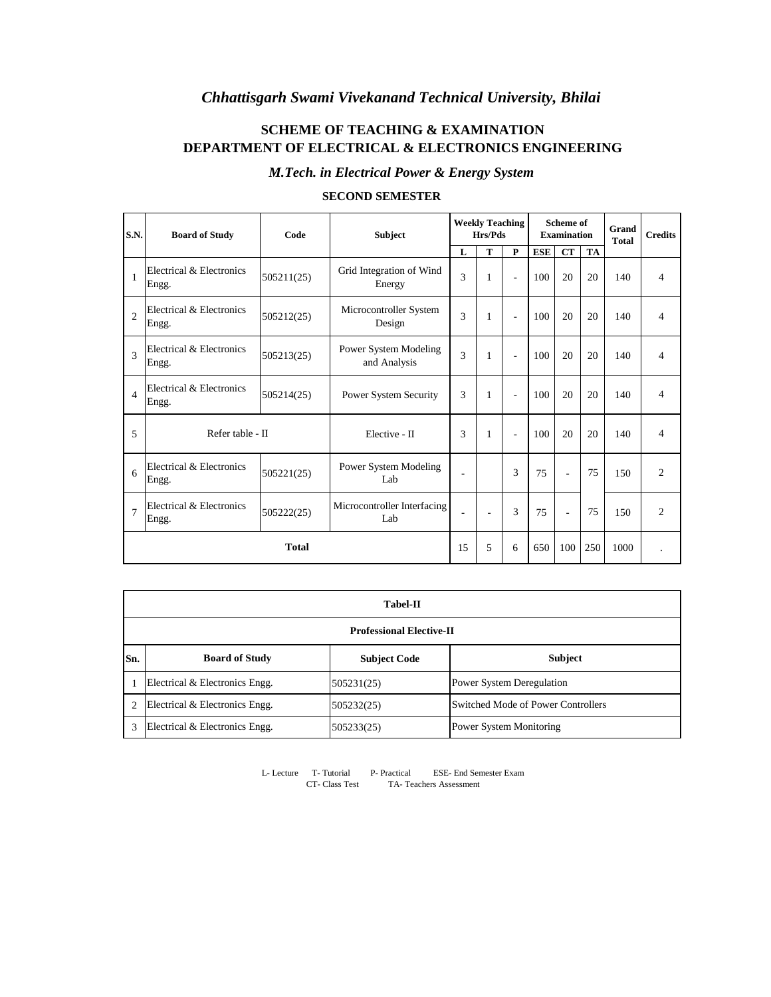## **SCHEME OF TEACHING & EXAMINATION DEPARTMENT OF ELECTRICAL & ELECTRONICS ENGINEERING**

*M.Tech. in Electrical Power & Energy System*

| S.N.           | <b>Board of Study</b>             | Code       | Subject                               | <b>Weekly Teaching</b><br>Hrs/Pds |    | <b>Scheme</b> of<br><b>Examination</b> |            |     | Grand<br><b>Total</b> | <b>Credits</b> |                |
|----------------|-----------------------------------|------------|---------------------------------------|-----------------------------------|----|----------------------------------------|------------|-----|-----------------------|----------------|----------------|
|                |                                   |            |                                       | L                                 | T  | P                                      | <b>ESE</b> | CT  | <b>TA</b>             |                |                |
| $\overline{1}$ | Electrical & Electronics<br>Engg. | 505211(25) | Grid Integration of Wind<br>Energy    | 3                                 | 1  | $\bar{a}$                              | 100        | 20  | 20                    | 140            | 4              |
| $\mathfrak{D}$ | Electrical & Electronics<br>Engg. | 505212(25) | Microcontroller System<br>Design      | 3                                 | 1  | $\overline{\phantom{a}}$               | 100        | 20  | 20                    | 140            | 4              |
| 3              | Electrical & Electronics<br>Engg. | 505213(25) | Power System Modeling<br>and Analysis | $\mathbf{3}$                      | 1  | $\overline{\phantom{a}}$               | 100        | 20  | 20                    | 140            | 4              |
| $\overline{4}$ | Electrical & Electronics<br>Engg. | 505214(25) | Power System Security                 | $\mathbf{3}$                      | 1  | $\overline{\phantom{a}}$               | 100        | 20  | 20                    | 140            | 4              |
| 5              | Refer table - II                  |            | Elective - II                         | $\mathbf{3}$                      | 1  | $\overline{\phantom{a}}$               | 100        | 20  | 20                    | 140            | 4              |
| 6              | Electrical & Electronics<br>Engg. | 505221(25) | Power System Modeling<br>Lab          | ٠                                 |    | 3                                      | 75         | ÷,  | 75                    | 150            | $\overline{2}$ |
| $\overline{7}$ | Electrical & Electronics<br>Engg. | 505222(25) | Microcontroller Interfacing<br>Lab    | ÷,                                | ÷. | 3                                      | 75         | ÷,  | 75                    | 150            | $\mathfrak{D}$ |
|                | <b>Total</b>                      |            |                                       | 15                                | 5  | 6                                      | 650        | 100 | 250                   | 1000           |                |

#### **SECOND SEMESTER**

|     | <b>Tabel-II</b>                 |                     |                                    |  |  |  |  |
|-----|---------------------------------|---------------------|------------------------------------|--|--|--|--|
|     | <b>Professional Elective-II</b> |                     |                                    |  |  |  |  |
| Sn. | <b>Board of Study</b>           | <b>Subject Code</b> | <b>Subject</b>                     |  |  |  |  |
|     | Electrical & Electronics Engg.  | 505231(25)          | <b>Power System Deregulation</b>   |  |  |  |  |
|     | Electrical & Electronics Engg.  | 505232(25)          | Switched Mode of Power Controllers |  |  |  |  |
| 3   | Electrical & Electronics Engg.  | 505233(25)          | Power System Monitoring            |  |  |  |  |

L- Lecture T- Tutorial P- Practical ESE- End Semester Exam CT- Class Test TA- Teachers Assessment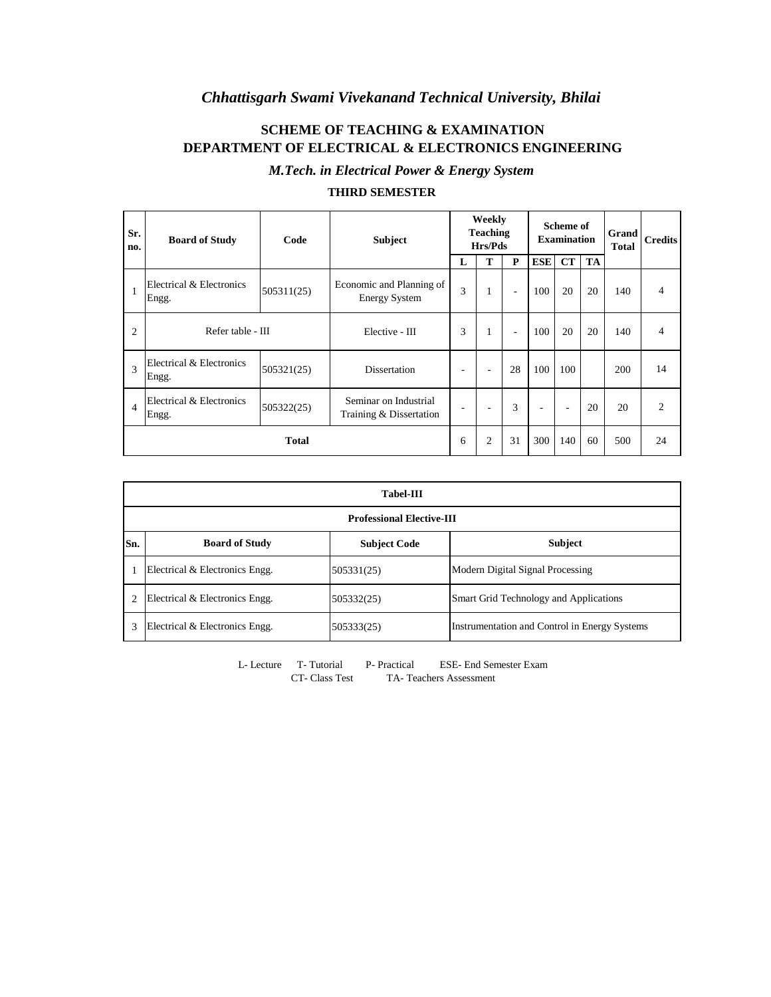## **SCHEME OF TEACHING & EXAMINATION DEPARTMENT OF ELECTRICAL & ELECTRONICS ENGINEERING**

*M.Tech. in Electrical Power & Energy System*

| Sr.<br>no.     | <b>Board of Study</b>             | Code         | Weekly<br>Scheme of<br><b>Teaching</b><br><b>Examination</b><br><b>Subject</b><br>Hrs/Pds |   |                |                          |            |                          |    |     | Grand<br><b>Total</b> | <b>Credits</b> |
|----------------|-----------------------------------|--------------|-------------------------------------------------------------------------------------------|---|----------------|--------------------------|------------|--------------------------|----|-----|-----------------------|----------------|
|                |                                   |              |                                                                                           | L | т              | P                        | <b>ESE</b> | <b>CT</b>                | TA |     |                       |                |
| $\mathbf{1}$   | Electrical & Electronics<br>Engg. | 505311(25)   | Economic and Planning of<br><b>Energy System</b>                                          | 3 |                | $\sim$                   | 100        | 20                       | 20 | 140 | 4                     |                |
| $\overline{2}$ | Refer table - III                 |              | Elective - III                                                                            | 3 |                | $\overline{\phantom{a}}$ | 100        | 20                       | 20 | 140 | 4                     |                |
| 3              | Electrical & Electronics<br>Engg. | 505321(25)   | Dissertation                                                                              | - |                | 28                       | 100        | 100                      |    | 200 | 14                    |                |
| $\overline{4}$ | Electrical & Electronics<br>Engg. | 505322(25)   | Seminar on Industrial<br>Training & Dissertation                                          | ۰ |                | 3                        | ٠          | $\overline{\phantom{a}}$ | 20 | 20  | $\mathfrak{D}$        |                |
|                |                                   | <b>Total</b> |                                                                                           | 6 | $\overline{c}$ | 31                       | 300        | 140                      | 60 | 500 | 24                    |                |

#### **THIRD SEMESTER**

|                                                                       | <b>Tabel-III</b>                 |            |                                               |  |  |  |  |
|-----------------------------------------------------------------------|----------------------------------|------------|-----------------------------------------------|--|--|--|--|
|                                                                       | <b>Professional Elective-III</b> |            |                                               |  |  |  |  |
| Sn.<br><b>Subject</b><br><b>Board of Study</b><br><b>Subject Code</b> |                                  |            |                                               |  |  |  |  |
|                                                                       | Electrical & Electronics Engg.   | 505331(25) | Modern Digital Signal Processing              |  |  |  |  |
|                                                                       | Electrical & Electronics Engg.   | 505332(25) | <b>Smart Grid Technology and Applications</b> |  |  |  |  |
| 3                                                                     | Electrical & Electronics Engg.   | 505333(25) | Instrumentation and Control in Energy Systems |  |  |  |  |

L- Lecture T- Tutorial P- Practical ESE- End Semester Exam TA- Teachers Assessment